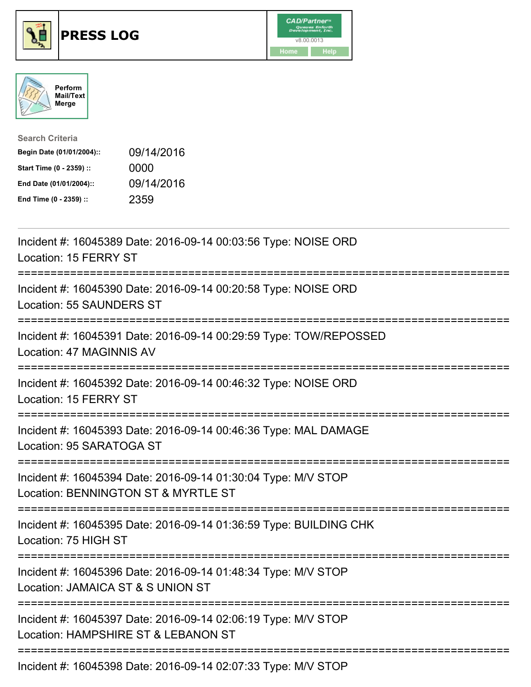





| <b>Search Criteria</b>    |            |
|---------------------------|------------|
| Begin Date (01/01/2004):: | 09/14/2016 |
| Start Time (0 - 2359) ::  | 0000       |
| End Date (01/01/2004)::   | 09/14/2016 |
| End Time (0 - 2359) ::    | 2359       |

| Incident #: 16045389 Date: 2016-09-14 00:03:56 Type: NOISE ORD<br>Location: 15 FERRY ST                                            |
|------------------------------------------------------------------------------------------------------------------------------------|
| Incident #: 16045390 Date: 2016-09-14 00:20:58 Type: NOISE ORD<br>Location: 55 SAUNDERS ST                                         |
| Incident #: 16045391 Date: 2016-09-14 00:29:59 Type: TOW/REPOSSED<br>Location: 47 MAGINNIS AV                                      |
| Incident #: 16045392 Date: 2016-09-14 00:46:32 Type: NOISE ORD<br>Location: 15 FERRY ST                                            |
| Incident #: 16045393 Date: 2016-09-14 00:46:36 Type: MAL DAMAGE<br>Location: 95 SARATOGA ST                                        |
| Incident #: 16045394 Date: 2016-09-14 01:30:04 Type: M/V STOP<br>Location: BENNINGTON ST & MYRTLE ST                               |
| Incident #: 16045395 Date: 2016-09-14 01:36:59 Type: BUILDING CHK<br>Location: 75 HIGH ST<br>;==================================== |
| Incident #: 16045396 Date: 2016-09-14 01:48:34 Type: M/V STOP<br>Location: JAMAICA ST & S UNION ST<br>:==========================  |
| Incident #: 16045397 Date: 2016-09-14 02:06:19 Type: M/V STOP<br>Location: HAMPSHIRE ST & LEBANON ST                               |
| Incident #: 16045398 Date: 2016-09-14 02:07:33 Type: M/V STOP                                                                      |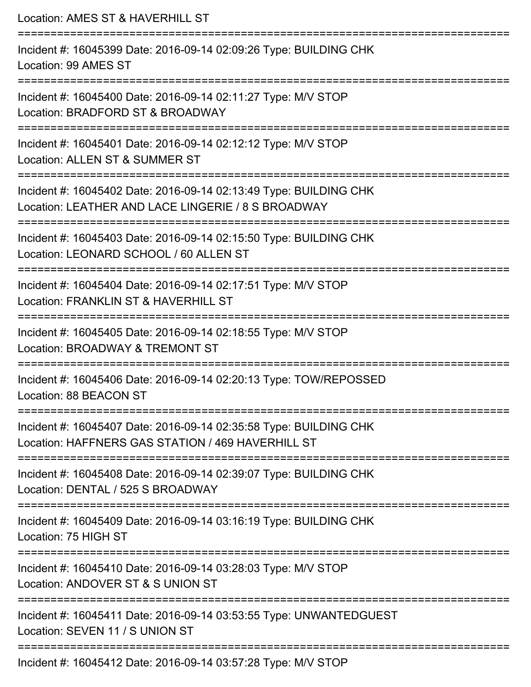Location: AMES ST & HAVERHILL ST =========================================================================== Incident #: 16045399 Date: 2016-09-14 02:09:26 Type: BUILDING CHK Location: 99 AMES ST =========================================================================== Incident #: 16045400 Date: 2016-09-14 02:11:27 Type: M/V STOP Location: BRADFORD ST & BROADWAY =========================================================================== Incident #: 16045401 Date: 2016-09-14 02:12:12 Type: M/V STOP Location: ALLEN ST & SUMMER ST =========================================================================== Incident #: 16045402 Date: 2016-09-14 02:13:49 Type: BUILDING CHK Location: LEATHER AND LACE LINGERIE / 8 S BROADWAY =========================================================================== Incident #: 16045403 Date: 2016-09-14 02:15:50 Type: BUILDING CHK Location: LEONARD SCHOOL / 60 ALLEN ST =========================================================================== Incident #: 16045404 Date: 2016-09-14 02:17:51 Type: M/V STOP Location: FRANKLIN ST & HAVERHILL ST =========================================================================== Incident #: 16045405 Date: 2016-09-14 02:18:55 Type: M/V STOP Location: BROADWAY & TREMONT ST =========================================================================== Incident #: 16045406 Date: 2016-09-14 02:20:13 Type: TOW/REPOSSED Location: 88 BEACON ST =========================================================================== Incident #: 16045407 Date: 2016-09-14 02:35:58 Type: BUILDING CHK Location: HAFFNERS GAS STATION / 469 HAVERHILL ST =========================================================================== Incident #: 16045408 Date: 2016-09-14 02:39:07 Type: BUILDING CHK Location: DENTAL / 525 S BROADWAY =========================================================================== Incident #: 16045409 Date: 2016-09-14 03:16:19 Type: BUILDING CHK Location: 75 HIGH ST =========================================================================== Incident #: 16045410 Date: 2016-09-14 03:28:03 Type: M/V STOP Location: ANDOVER ST & S UNION ST =========================================================================== Incident #: 16045411 Date: 2016-09-14 03:53:55 Type: UNWANTEDGUEST Location: SEVEN 11 / S UNION ST ===========================================================================

Incident #: 16045412 Date: 2016-09-14 03:57:28 Type: M/V STOP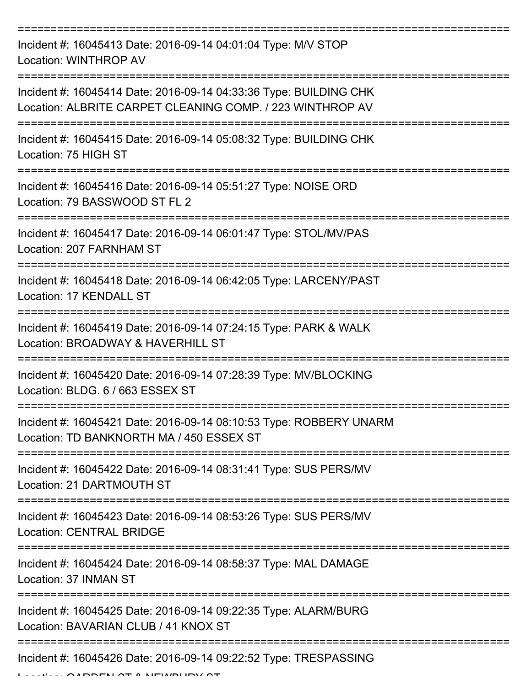| Incident #: 16045413 Date: 2016-09-14 04:01:04 Type: M/V STOP<br>Location: WINTHROP AV                                         |
|--------------------------------------------------------------------------------------------------------------------------------|
| Incident #: 16045414 Date: 2016-09-14 04:33:36 Type: BUILDING CHK<br>Location: ALBRITE CARPET CLEANING COMP. / 223 WINTHROP AV |
| Incident #: 16045415 Date: 2016-09-14 05:08:32 Type: BUILDING CHK<br>Location: 75 HIGH ST                                      |
| Incident #: 16045416 Date: 2016-09-14 05:51:27 Type: NOISE ORD<br>Location: 79 BASSWOOD ST FL 2                                |
| Incident #: 16045417 Date: 2016-09-14 06:01:47 Type: STOL/MV/PAS<br>Location: 207 FARNHAM ST                                   |
| Incident #: 16045418 Date: 2016-09-14 06:42:05 Type: LARCENY/PAST<br>Location: 17 KENDALL ST                                   |
| Incident #: 16045419 Date: 2016-09-14 07:24:15 Type: PARK & WALK<br>Location: BROADWAY & HAVERHILL ST                          |
| Incident #: 16045420 Date: 2016-09-14 07:28:39 Type: MV/BLOCKING<br>Location: BLDG, 6 / 663 ESSEX ST                           |
| Incident #: 16045421 Date: 2016-09-14 08:10:53 Type: ROBBERY UNARM<br>Location: TD BANKNORTH MA / 450 ESSEX ST                 |
| Incident #: 16045422 Date: 2016-09-14 08:31:41 Type: SUS PERS/MV<br>Location: 21 DARTMOUTH ST                                  |
| Incident #: 16045423 Date: 2016-09-14 08:53:26 Type: SUS PERS/MV<br><b>Location: CENTRAL BRIDGE</b>                            |
| Incident #: 16045424 Date: 2016-09-14 08:58:37 Type: MAL DAMAGE<br>Location: 37 INMAN ST                                       |
| Incident #: 16045425 Date: 2016-09-14 09:22:35 Type: ALARM/BURG<br>Location: BAVARIAN CLUB / 41 KNOX ST                        |
| Incident #: 16045426 Date: 2016-09-14 09:22:52 Type: TRESPASSING                                                               |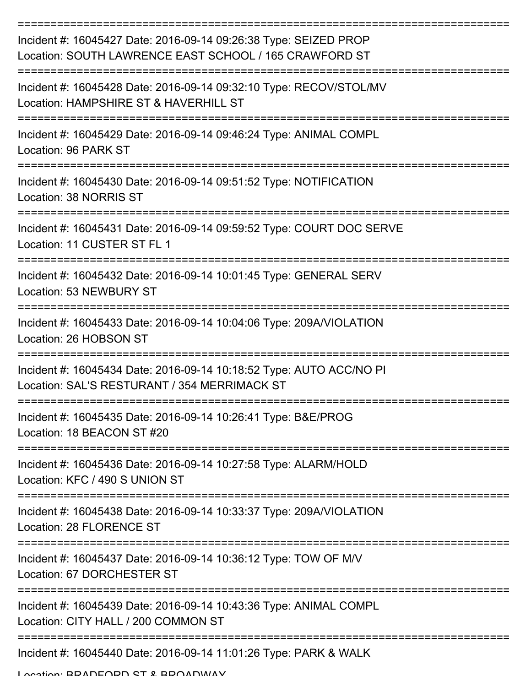| Incident #: 16045427 Date: 2016-09-14 09:26:38 Type: SEIZED PROP<br>Location: SOUTH LAWRENCE EAST SCHOOL / 165 CRAWFORD ST |
|----------------------------------------------------------------------------------------------------------------------------|
| Incident #: 16045428 Date: 2016-09-14 09:32:10 Type: RECOV/STOL/MV<br>Location: HAMPSHIRE ST & HAVERHILL ST                |
| Incident #: 16045429 Date: 2016-09-14 09:46:24 Type: ANIMAL COMPL<br>Location: 96 PARK ST                                  |
| Incident #: 16045430 Date: 2016-09-14 09:51:52 Type: NOTIFICATION<br>Location: 38 NORRIS ST                                |
| Incident #: 16045431 Date: 2016-09-14 09:59:52 Type: COURT DOC SERVE<br>Location: 11 CUSTER ST FL 1                        |
| Incident #: 16045432 Date: 2016-09-14 10:01:45 Type: GENERAL SERV<br>Location: 53 NEWBURY ST                               |
| Incident #: 16045433 Date: 2016-09-14 10:04:06 Type: 209A/VIOLATION<br>Location: 26 HOBSON ST<br>----------                |
| Incident #: 16045434 Date: 2016-09-14 10:18:52 Type: AUTO ACC/NO PI<br>Location: SAL'S RESTURANT / 354 MERRIMACK ST        |
| Incident #: 16045435 Date: 2016-09-14 10:26:41 Type: B&E/PROG<br>Location: 18 BEACON ST #20                                |
| Incident #: 16045436 Date: 2016-09-14 10:27:58 Type: ALARM/HOLD<br>Location: KFC / 490 S UNION ST                          |
| Incident #: 16045438 Date: 2016-09-14 10:33:37 Type: 209A/VIOLATION<br><b>Location: 28 FLORENCE ST</b>                     |
| Incident #: 16045437 Date: 2016-09-14 10:36:12 Type: TOW OF M/V<br>Location: 67 DORCHESTER ST                              |
| Incident #: 16045439 Date: 2016-09-14 10:43:36 Type: ANIMAL COMPL<br>Location: CITY HALL / 200 COMMON ST                   |
| Incident #: 16045440 Date: 2016-09-14 11:01:26 Type: PARK & WALK                                                           |

Location: BRADFORD ST & BROADWAY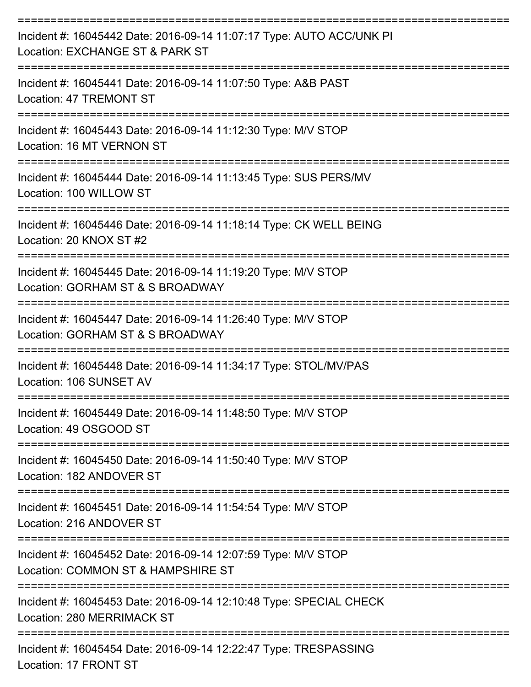| Incident #: 16045442 Date: 2016-09-14 11:07:17 Type: AUTO ACC/UNK PI<br>Location: EXCHANGE ST & PARK ST                          |
|----------------------------------------------------------------------------------------------------------------------------------|
| Incident #: 16045441 Date: 2016-09-14 11:07:50 Type: A&B PAST<br><b>Location: 47 TREMONT ST</b>                                  |
| Incident #: 16045443 Date: 2016-09-14 11:12:30 Type: M/V STOP<br>Location: 16 MT VERNON ST                                       |
| Incident #: 16045444 Date: 2016-09-14 11:13:45 Type: SUS PERS/MV<br>Location: 100 WILLOW ST                                      |
| Incident #: 16045446 Date: 2016-09-14 11:18:14 Type: CK WELL BEING<br>Location: 20 KNOX ST #2                                    |
| Incident #: 16045445 Date: 2016-09-14 11:19:20 Type: M/V STOP<br>Location: GORHAM ST & S BROADWAY                                |
| Incident #: 16045447 Date: 2016-09-14 11:26:40 Type: M/V STOP<br>Location: GORHAM ST & S BROADWAY<br>:=============              |
| Incident #: 16045448 Date: 2016-09-14 11:34:17 Type: STOL/MV/PAS<br>Location: 106 SUNSET AV                                      |
| Incident #: 16045449 Date: 2016-09-14 11:48:50 Type: M/V STOP<br>Location: 49 OSGOOD ST                                          |
| =============<br>==================<br>Incident #: 16045450 Date: 2016-09-14 11:50:40 Type: M/V STOP<br>Location: 182 ANDOVER ST |
| ================================<br>Incident #: 16045451 Date: 2016-09-14 11:54:54 Type: M/V STOP<br>Location: 216 ANDOVER ST    |
| Incident #: 16045452 Date: 2016-09-14 12:07:59 Type: M/V STOP<br>Location: COMMON ST & HAMPSHIRE ST                              |
| Incident #: 16045453 Date: 2016-09-14 12:10:48 Type: SPECIAL CHECK<br>Location: 280 MERRIMACK ST                                 |
| Incident #: 16045454 Date: 2016-09-14 12:22:47 Type: TRESPASSING                                                                 |

Location: 17 FRONT ST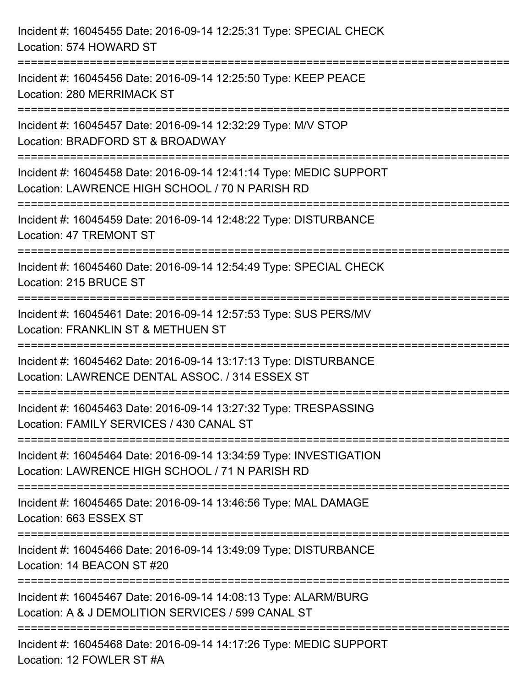| Incident #: 16045455 Date: 2016-09-14 12:25:31 Type: SPECIAL CHECK<br>Location: 574 HOWARD ST                                                                                    |
|----------------------------------------------------------------------------------------------------------------------------------------------------------------------------------|
| Incident #: 16045456 Date: 2016-09-14 12:25:50 Type: KEEP PEACE<br>Location: 280 MERRIMACK ST                                                                                    |
| Incident #: 16045457 Date: 2016-09-14 12:32:29 Type: M/V STOP<br>Location: BRADFORD ST & BROADWAY                                                                                |
| =================================<br>Incident #: 16045458 Date: 2016-09-14 12:41:14 Type: MEDIC SUPPORT<br>Location: LAWRENCE HIGH SCHOOL / 70 N PARISH RD<br>================== |
| Incident #: 16045459 Date: 2016-09-14 12:48:22 Type: DISTURBANCE<br>Location: 47 TREMONT ST<br>-----------------------------                                                     |
| Incident #: 16045460 Date: 2016-09-14 12:54:49 Type: SPECIAL CHECK<br>Location: 215 BRUCE ST                                                                                     |
| Incident #: 16045461 Date: 2016-09-14 12:57:53 Type: SUS PERS/MV<br>Location: FRANKLIN ST & METHUEN ST                                                                           |
| Incident #: 16045462 Date: 2016-09-14 13:17:13 Type: DISTURBANCE<br>Location: LAWRENCE DENTAL ASSOC. / 314 ESSEX ST                                                              |
| Incident #: 16045463 Date: 2016-09-14 13:27:32 Type: TRESPASSING<br>Location: FAMILY SERVICES / 430 CANAL ST                                                                     |
| Incident #: 16045464 Date: 2016-09-14 13:34:59 Type: INVESTIGATION<br>Location: LAWRENCE HIGH SCHOOL / 71 N PARISH RD                                                            |
| Incident #: 16045465 Date: 2016-09-14 13:46:56 Type: MAL DAMAGE<br>Location: 663 ESSEX ST                                                                                        |
| Incident #: 16045466 Date: 2016-09-14 13:49:09 Type: DISTURBANCE<br>Location: 14 BEACON ST #20                                                                                   |
| Incident #: 16045467 Date: 2016-09-14 14:08:13 Type: ALARM/BURG<br>Location: A & J DEMOLITION SERVICES / 599 CANAL ST                                                            |
| Incident #: 16045468 Date: 2016-09-14 14:17:26 Type: MEDIC SUPPORT<br>Location: 12 FOWLER ST #A                                                                                  |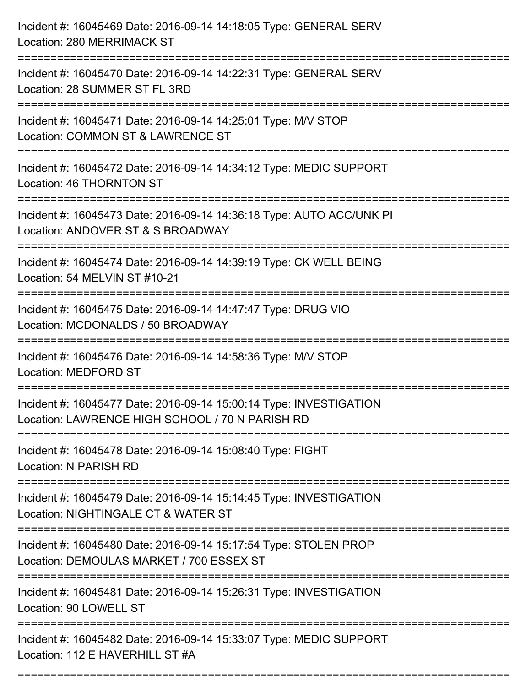| Incident #: 16045469 Date: 2016-09-14 14:18:05 Type: GENERAL SERV<br>Location: 280 MERRIMACK ST                                                         |
|---------------------------------------------------------------------------------------------------------------------------------------------------------|
| Incident #: 16045470 Date: 2016-09-14 14:22:31 Type: GENERAL SERV<br>Location: 28 SUMMER ST FL 3RD                                                      |
| Incident #: 16045471 Date: 2016-09-14 14:25:01 Type: M/V STOP<br>Location: COMMON ST & LAWRENCE ST                                                      |
| Incident #: 16045472 Date: 2016-09-14 14:34:12 Type: MEDIC SUPPORT<br>Location: 46 THORNTON ST                                                          |
| Incident #: 16045473 Date: 2016-09-14 14:36:18 Type: AUTO ACC/UNK PI<br>Location: ANDOVER ST & S BROADWAY                                               |
| Incident #: 16045474 Date: 2016-09-14 14:39:19 Type: CK WELL BEING<br>Location: 54 MELVIN ST #10-21                                                     |
| Incident #: 16045475 Date: 2016-09-14 14:47:47 Type: DRUG VIO<br>Location: MCDONALDS / 50 BROADWAY                                                      |
| Incident #: 16045476 Date: 2016-09-14 14:58:36 Type: M/V STOP<br><b>Location: MEDFORD ST</b>                                                            |
| Incident #: 16045477 Date: 2016-09-14 15:00:14 Type: INVESTIGATION<br>Location: LAWRENCE HIGH SCHOOL / 70 N PARISH RD<br>============================== |
| Incident #: 16045478 Date: 2016-09-14 15:08:40 Type: FIGHT<br>Location: N PARISH RD                                                                     |
| Incident #: 16045479 Date: 2016-09-14 15:14:45 Type: INVESTIGATION<br>Location: NIGHTINGALE CT & WATER ST                                               |
| Incident #: 16045480 Date: 2016-09-14 15:17:54 Type: STOLEN PROP<br>Location: DEMOULAS MARKET / 700 ESSEX ST                                            |
| Incident #: 16045481 Date: 2016-09-14 15:26:31 Type: INVESTIGATION<br>Location: 90 LOWELL ST                                                            |
| Incident #: 16045482 Date: 2016-09-14 15:33:07 Type: MEDIC SUPPORT<br>Location: 112 E HAVERHILL ST #A                                                   |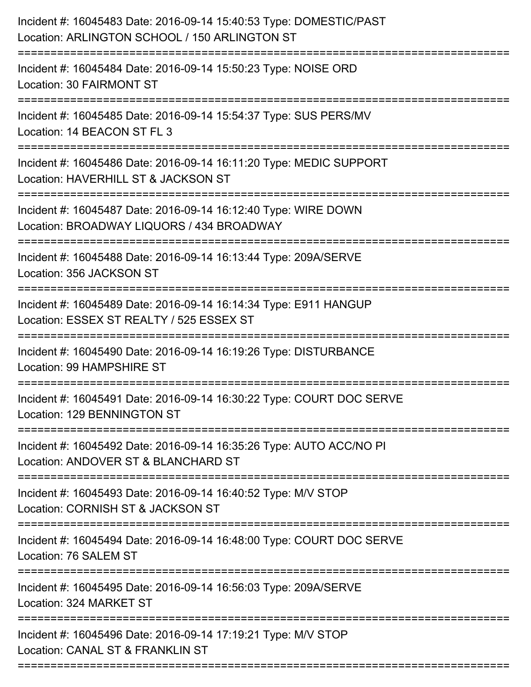| Incident #: 16045483 Date: 2016-09-14 15:40:53 Type: DOMESTIC/PAST<br>Location: ARLINGTON SCHOOL / 150 ARLINGTON ST                       |
|-------------------------------------------------------------------------------------------------------------------------------------------|
| Incident #: 16045484 Date: 2016-09-14 15:50:23 Type: NOISE ORD<br>Location: 30 FAIRMONT ST                                                |
| Incident #: 16045485 Date: 2016-09-14 15:54:37 Type: SUS PERS/MV<br>Location: 14 BEACON ST FL 3                                           |
| Incident #: 16045486 Date: 2016-09-14 16:11:20 Type: MEDIC SUPPORT<br>Location: HAVERHILL ST & JACKSON ST                                 |
| Incident #: 16045487 Date: 2016-09-14 16:12:40 Type: WIRE DOWN<br>Location: BROADWAY LIQUORS / 434 BROADWAY<br>____________________       |
| Incident #: 16045488 Date: 2016-09-14 16:13:44 Type: 209A/SERVE<br>Location: 356 JACKSON ST                                               |
| Incident #: 16045489 Date: 2016-09-14 16:14:34 Type: E911 HANGUP<br>Location: ESSEX ST REALTY / 525 ESSEX ST                              |
| Incident #: 16045490 Date: 2016-09-14 16:19:26 Type: DISTURBANCE<br>Location: 99 HAMPSHIRE ST                                             |
| Incident #: 16045491 Date: 2016-09-14 16:30:22 Type: COURT DOC SERVE<br>Location: 129 BENNINGTON ST                                       |
| Incident #: 16045492 Date: 2016-09-14 16:35:26 Type: AUTO ACC/NO PI<br>Location: ANDOVER ST & BLANCHARD ST                                |
| ===================================<br>Incident #: 16045493 Date: 2016-09-14 16:40:52 Type: M/V STOP<br>Location: CORNISH ST & JACKSON ST |
| Incident #: 16045494 Date: 2016-09-14 16:48:00 Type: COURT DOC SERVE<br>Location: 76 SALEM ST                                             |
| ================================<br>Incident #: 16045495 Date: 2016-09-14 16:56:03 Type: 209A/SERVE<br>Location: 324 MARKET ST            |
| Incident #: 16045496 Date: 2016-09-14 17:19:21 Type: M/V STOP<br>Location: CANAL ST & FRANKLIN ST                                         |
|                                                                                                                                           |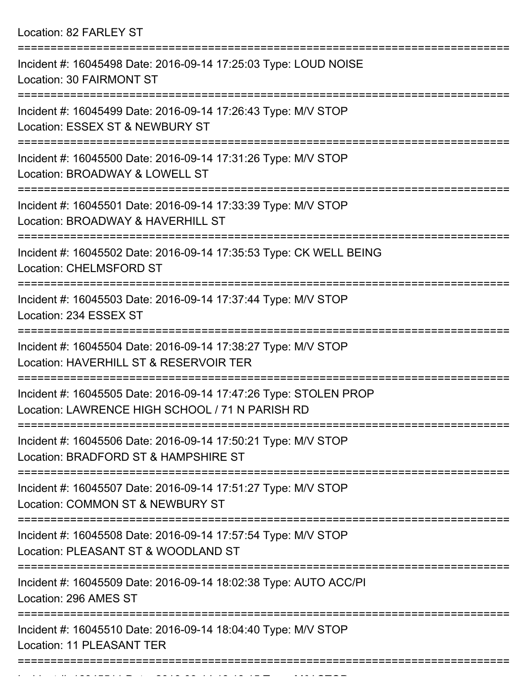Location: 82 FARLEY ST

| Incident #: 16045498 Date: 2016-09-14 17:25:03 Type: LOUD NOISE<br><b>Location: 30 FAIRMONT ST</b>                  |
|---------------------------------------------------------------------------------------------------------------------|
| Incident #: 16045499 Date: 2016-09-14 17:26:43 Type: M/V STOP<br>Location: ESSEX ST & NEWBURY ST                    |
| Incident #: 16045500 Date: 2016-09-14 17:31:26 Type: M/V STOP<br>Location: BROADWAY & LOWELL ST                     |
| Incident #: 16045501 Date: 2016-09-14 17:33:39 Type: M/V STOP<br>Location: BROADWAY & HAVERHILL ST                  |
| Incident #: 16045502 Date: 2016-09-14 17:35:53 Type: CK WELL BEING<br><b>Location: CHELMSFORD ST</b>                |
| Incident #: 16045503 Date: 2016-09-14 17:37:44 Type: M/V STOP<br>Location: 234 ESSEX ST                             |
| Incident #: 16045504 Date: 2016-09-14 17:38:27 Type: M/V STOP<br>Location: HAVERHILL ST & RESERVOIR TER             |
| Incident #: 16045505 Date: 2016-09-14 17:47:26 Type: STOLEN PROP<br>Location: LAWRENCE HIGH SCHOOL / 71 N PARISH RD |
| Incident #: 16045506 Date: 2016-09-14 17:50:21 Type: M/V STOP<br>Location: BRADFORD ST & HAMPSHIRE ST               |
| Incident #: 16045507 Date: 2016-09-14 17:51:27 Type: M/V STOP<br>Location: COMMON ST & NEWBURY ST                   |
| Incident #: 16045508 Date: 2016-09-14 17:57:54 Type: M/V STOP<br>Location: PLEASANT ST & WOODLAND ST                |
| Incident #: 16045509 Date: 2016-09-14 18:02:38 Type: AUTO ACC/PI<br>Location: 296 AMES ST                           |
| Incident #: 16045510 Date: 2016-09-14 18:04:40 Type: M/V STOP<br><b>Location: 11 PLEASANT TER</b>                   |
|                                                                                                                     |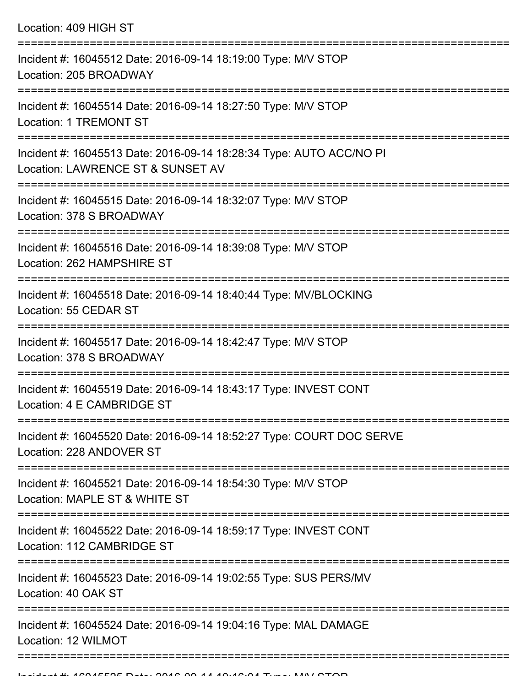Location: 409 HIGH ST

| Incident #: 16045512 Date: 2016-09-14 18:19:00 Type: M/V STOP<br>Location: 205 BROADWAY                  |
|----------------------------------------------------------------------------------------------------------|
| Incident #: 16045514 Date: 2016-09-14 18:27:50 Type: M/V STOP<br><b>Location: 1 TREMONT ST</b>           |
| Incident #: 16045513 Date: 2016-09-14 18:28:34 Type: AUTO ACC/NO PI<br>Location: LAWRENCE ST & SUNSET AV |
| Incident #: 16045515 Date: 2016-09-14 18:32:07 Type: M/V STOP<br>Location: 378 S BROADWAY                |
| Incident #: 16045516 Date: 2016-09-14 18:39:08 Type: M/V STOP<br>Location: 262 HAMPSHIRE ST              |
| Incident #: 16045518 Date: 2016-09-14 18:40:44 Type: MV/BLOCKING<br>Location: 55 CEDAR ST                |
| Incident #: 16045517 Date: 2016-09-14 18:42:47 Type: M/V STOP<br>Location: 378 S BROADWAY                |
| Incident #: 16045519 Date: 2016-09-14 18:43:17 Type: INVEST CONT<br>Location: 4 E CAMBRIDGE ST           |
| Incident #: 16045520 Date: 2016-09-14 18:52:27 Type: COURT DOC SERVE<br>Location: 228 ANDOVER ST         |
| Incident #: 16045521 Date: 2016-09-14 18:54:30 Type: M/V STOP<br>Location: MAPLE ST & WHITE ST           |
| Incident #: 16045522 Date: 2016-09-14 18:59:17 Type: INVEST CONT<br>Location: 112 CAMBRIDGE ST           |
| Incident #: 16045523 Date: 2016-09-14 19:02:55 Type: SUS PERS/MV<br>Location: 40 OAK ST                  |
| Incident #: 16045524 Date: 2016-09-14 19:04:16 Type: MAL DAMAGE<br>Location: 12 WILMOT                   |
|                                                                                                          |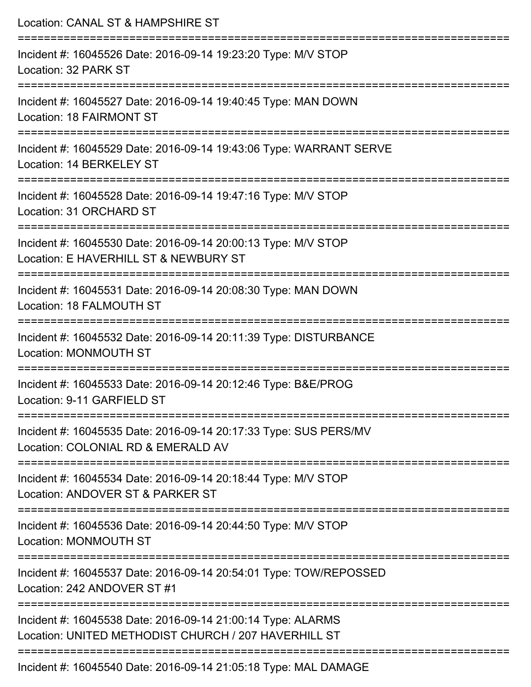| Location: CANAL ST & HAMPSHIRE ST                                                                                                    |
|--------------------------------------------------------------------------------------------------------------------------------------|
| Incident #: 16045526 Date: 2016-09-14 19:23:20 Type: M/V STOP<br>Location: 32 PARK ST                                                |
| Incident #: 16045527 Date: 2016-09-14 19:40:45 Type: MAN DOWN<br>Location: 18 FAIRMONT ST                                            |
| Incident #: 16045529 Date: 2016-09-14 19:43:06 Type: WARRANT SERVE<br>Location: 14 BERKELEY ST                                       |
| Incident #: 16045528 Date: 2016-09-14 19:47:16 Type: M/V STOP<br>Location: 31 ORCHARD ST                                             |
| Incident #: 16045530 Date: 2016-09-14 20:00:13 Type: M/V STOP<br>Location: E HAVERHILL ST & NEWBURY ST                               |
| Incident #: 16045531 Date: 2016-09-14 20:08:30 Type: MAN DOWN<br>Location: 18 FALMOUTH ST                                            |
| Incident #: 16045532 Date: 2016-09-14 20:11:39 Type: DISTURBANCE<br><b>Location: MONMOUTH ST</b>                                     |
| =====================================<br>Incident #: 16045533 Date: 2016-09-14 20:12:46 Type: B&E/PROG<br>Location: 9-11 GARFIELD ST |
| Incident #: 16045535 Date: 2016-09-14 20:17:33 Type: SUS PERS/MV<br>Location: COLONIAL RD & EMERALD AV                               |
| Incident #: 16045534 Date: 2016-09-14 20:18:44 Type: M/V STOP<br>Location: ANDOVER ST & PARKER ST                                    |
| Incident #: 16045536 Date: 2016-09-14 20:44:50 Type: M/V STOP<br>Location: MONMOUTH ST                                               |
| Incident #: 16045537 Date: 2016-09-14 20:54:01 Type: TOW/REPOSSED<br>Location: 242 ANDOVER ST #1                                     |
| Incident #: 16045538 Date: 2016-09-14 21:00:14 Type: ALARMS<br>Location: UNITED METHODIST CHURCH / 207 HAVERHILL ST                  |
| Incident #: 16045540 Date: 2016-09-14 21:05:18 Type: MAL DAMAGE                                                                      |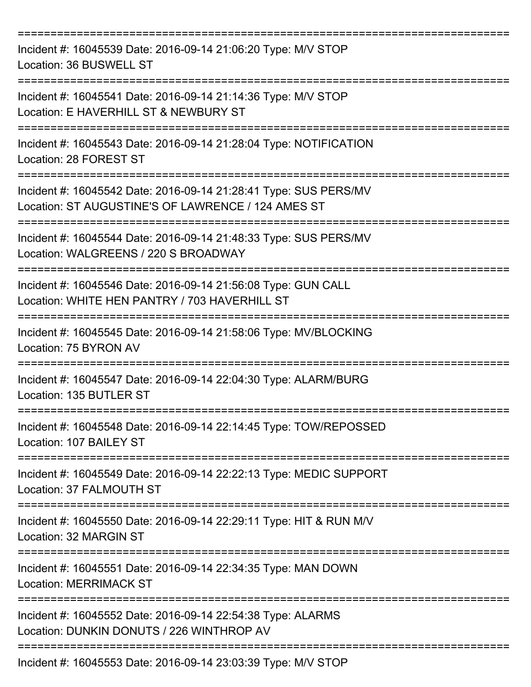| Incident #: 16045539 Date: 2016-09-14 21:06:20 Type: M/V STOP<br>Location: 36 BUSWELL ST                                       |
|--------------------------------------------------------------------------------------------------------------------------------|
| Incident #: 16045541 Date: 2016-09-14 21:14:36 Type: M/V STOP<br>Location: E HAVERHILL ST & NEWBURY ST                         |
| Incident #: 16045543 Date: 2016-09-14 21:28:04 Type: NOTIFICATION<br>Location: 28 FOREST ST                                    |
| Incident #: 16045542 Date: 2016-09-14 21:28:41 Type: SUS PERS/MV<br>Location: ST AUGUSTINE'S OF LAWRENCE / 124 AMES ST         |
| Incident #: 16045544 Date: 2016-09-14 21:48:33 Type: SUS PERS/MV<br>Location: WALGREENS / 220 S BROADWAY<br>:================= |
| Incident #: 16045546 Date: 2016-09-14 21:56:08 Type: GUN CALL<br>Location: WHITE HEN PANTRY / 703 HAVERHILL ST                 |
| Incident #: 16045545 Date: 2016-09-14 21:58:06 Type: MV/BLOCKING<br>Location: 75 BYRON AV                                      |
| Incident #: 16045547 Date: 2016-09-14 22:04:30 Type: ALARM/BURG<br>Location: 135 BUTLER ST                                     |
| Incident #: 16045548 Date: 2016-09-14 22:14:45 Type: TOW/REPOSSED<br>Location: 107 BAILEY ST                                   |
| Incident #: 16045549 Date: 2016-09-14 22:22:13 Type: MEDIC SUPPORT<br>Location: 37 FALMOUTH ST                                 |
| Incident #: 16045550 Date: 2016-09-14 22:29:11 Type: HIT & RUN M/V<br>Location: 32 MARGIN ST<br>=========================      |
| Incident #: 16045551 Date: 2016-09-14 22:34:35 Type: MAN DOWN<br><b>Location: MERRIMACK ST</b>                                 |
| Incident #: 16045552 Date: 2016-09-14 22:54:38 Type: ALARMS<br>Location: DUNKIN DONUTS / 226 WINTHROP AV                       |
| Incident #: 16045553 Date: 2016-09-14 23:03:39 Type: M/V STOP                                                                  |